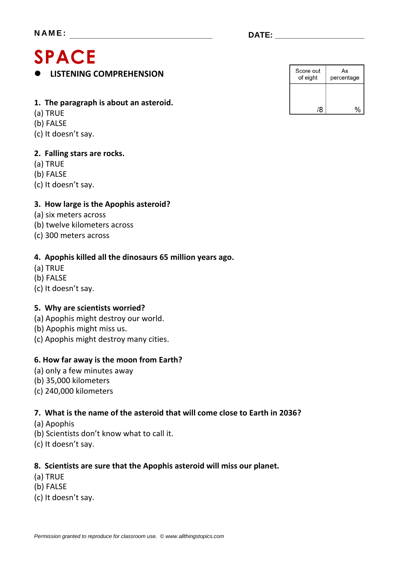# **SPACE**

**LISTENING COMPREHENSION**

#### **1. The paragraph is about an asteroid.**

- (a) TRUE
- (b) FALSE
- (c) It doesn't say.

### **2. Falling stars are rocks.**

- (a) TRUE
- (b) FALSE
- (c) It doesn't say.

### **3. How large is the Apophis asteroid?**

- (a) six meters across
- (b) twelve kilometers across
- (c) 300 meters across

#### **4. Apophis killed all the dinosaurs 65 million years ago.**

- (a) TRUE
- (b) FALSE
- (c) It doesn't say.

#### **5. Why are scientists worried?**

- (a) Apophis might destroy our world.
- (b) Apophis might miss us.
- (c) Apophis might destroy many cities.

#### **6. How far away is the moon from Earth?**

- (a) only a few minutes away
- (b) 35,000 kilometers
- (c) 240,000 kilometers

#### **7. What is the name of the asteroid that will come close to Earth in 2036?**

- (a) Apophis
- (b) Scientists don't know what to call it.
- (c) It doesn't say.

#### **8. Scientists are sure that the Apophis asteroid will miss our planet.**

- (a) TRUE
- (b) FALSE
- (c) It doesn't say.

| Score out<br>of eight | As<br>percentage |
|-----------------------|------------------|
|                       |                  |
| /8                    |                  |